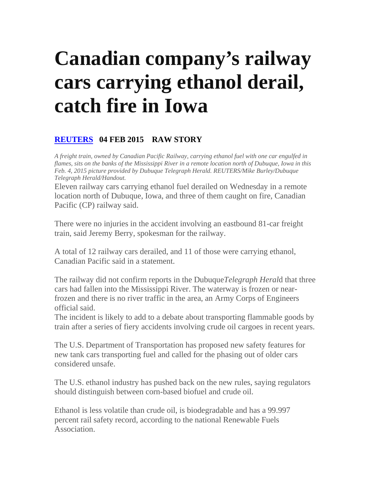## **Canadian company's railway cars carrying ethanol derail, catch fire in Iowa**

## **REUTERS 04 FEB 2015 RAW STORY**

*A freight train, owned by Canadian Pacific Railway, carrying ethanol fuel with one car engulfed in flames, sits on the banks of the Mississippi River in a remote location north of Dubuque, Iowa in this Feb. 4, 2015 picture provided by Dubuque Telegraph Herald. REUTERS/Mike Burley/Dubuque Telegraph Herald/Handout.* 

Eleven railway cars carrying ethanol fuel derailed on Wednesday in a remote location north of Dubuque, Iowa, and three of them caught on fire, Canadian Pacific (CP) railway said.

There were no injuries in the accident involving an eastbound 81-car freight train, said Jeremy Berry, spokesman for the railway.

A total of 12 railway cars derailed, and 11 of those were carrying ethanol, Canadian Pacific said in a statement.

The railway did not confirm reports in the Dubuque*Telegraph Heral*d that three cars had fallen into the Mississippi River. The waterway is frozen or nearfrozen and there is no river traffic in the area, an Army Corps of Engineers official said.

The incident is likely to add to a debate about transporting flammable goods by train after a series of fiery accidents involving crude oil cargoes in recent years.

The U.S. Department of Transportation has proposed new safety features for new tank cars transporting fuel and called for the phasing out of older cars considered unsafe.

The U.S. ethanol industry has pushed back on the new rules, saying regulators should distinguish between corn-based biofuel and crude oil.

Ethanol is less volatile than crude oil, is biodegradable and has a 99.997 percent rail safety record, according to the national Renewable Fuels Association.